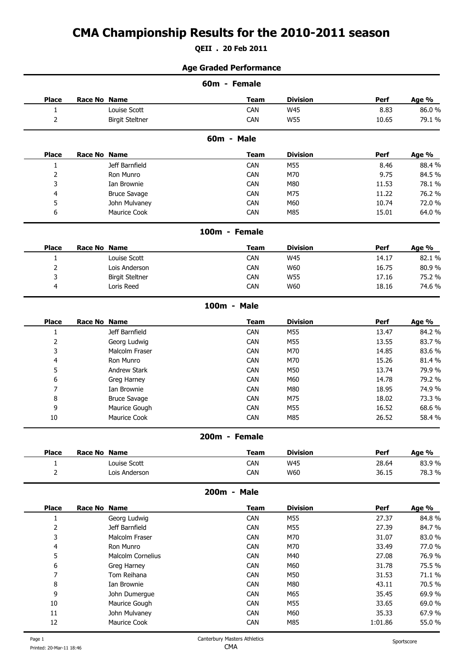# **CMA Championship Results for the 2010-2011 season**

**QEII . 20 Feb 2011**

#### **Age Graded Performance**

|                |                        | 60m - Female  |                 |       |        |
|----------------|------------------------|---------------|-----------------|-------|--------|
| <b>Place</b>   | Race No Name           | <b>Team</b>   | <b>Division</b> | Perf  | Age %  |
| $\mathbf{1}$   | Louise Scott           | CAN           | <b>W45</b>      | 8.83  | 86.0%  |
| $\overline{c}$ | <b>Birgit Steltner</b> | CAN           | <b>W55</b>      | 10.65 | 79.1%  |
|                |                        | 60m - Male    |                 |       |        |
| <b>Place</b>   | Race No Name           | <b>Team</b>   | <b>Division</b> | Perf  | Age %  |
| $\mathbf{1}$   | Jeff Barnfield         | CAN           | M55             | 8.46  | 88.4%  |
| $\overline{c}$ | Ron Munro              | CAN           | M70             | 9.75  | 84.5%  |
| 3              | Ian Brownie            | CAN           | M80             | 11.53 | 78.1 % |
| 4              | <b>Bruce Savage</b>    | CAN           | M75             | 11.22 | 76.2 % |
| 5              | John Mulvaney          | CAN           | M60             | 10.74 | 72.0%  |
| 6              | Maurice Cook           | CAN           | M85             | 15.01 | 64.0%  |
|                |                        | 100m - Female |                 |       |        |
| <b>Place</b>   | Race No Name           | <b>Team</b>   | <b>Division</b> | Perf  | Age %  |
| $\mathbf{1}$   | Louise Scott           | CAN           | <b>W45</b>      | 14.17 | 82.1%  |
| 2              | Lois Anderson          | CAN           | W60             | 16.75 | 80.9%  |
| 3              | <b>Birgit Steltner</b> | CAN           | W55             | 17.16 | 75.2 % |
| 4              | Loris Reed             | CAN           | W60             | 18.16 | 74.6 % |
|                |                        | 100m - Male   |                 |       |        |
| <b>Place</b>   | Race No Name           | <b>Team</b>   | <b>Division</b> | Perf  | Age %  |
| $\mathbf{1}$   | Jeff Barnfield         | CAN           | M55             | 13.47 | 84.2 % |
| $\overline{c}$ | Georg Ludwig           | CAN           | M55             | 13.55 | 83.7%  |
| 3              | Malcolm Fraser         | CAN           | M70             | 14.85 | 83.6%  |
| 4              | Ron Munro              | CAN           | M70             | 15.26 | 81.4%  |
| 5              | Andrew Stark           | CAN           | M50             | 13.74 | 79.9%  |
| 6              | Greg Harney            | CAN           | M60             | 14.78 | 79.2 % |
| 7              | Ian Brownie            | CAN           | M80             | 18.95 | 74.9%  |
| 8              | <b>Bruce Savage</b>    | CAN           | M75             | 18.02 | 73.3 % |
| 9              | Maurice Gough          | CAN           | M55             | 16.52 | 68.6%  |
| $10\,$         | Maurice Cook           | CAN           | M85             | 26.52 | 58.4%  |
|                |                        | 200m - Female |                 |       |        |
| <b>Place</b>   | Race No Name           | <b>Team</b>   | <b>Division</b> | Perf  | Age %  |
| $\mathbf{1}$   | Louise Scott           | CAN           | <b>W45</b>      | 28.64 | 83.9%  |
| $\overline{c}$ | Lois Anderson          | CAN           | W60             | 36.15 | 78.3%  |
|                |                        | 200m - Male   |                 |       |        |
| <b>Place</b>   | Race No Name           | <b>Team</b>   | <b>Division</b> | Perf  | Age %  |
| $\mathbf{1}$   | Georg Ludwig           | CAN           | M55             | 27.37 | 84.8%  |
| $\overline{c}$ | Jeff Barnfield         | CAN           | M55             | 27.39 | 84.7%  |
| 3              | Malcolm Fraser         | CAN           | M70             | 31.07 | 83.0%  |
| 4              | Ron Munro              | CAN           | M70             | 33.49 | 77.0%  |
| 5              | Malcolm Cornelius      | CAN           | M40             | 27.08 | 76.9%  |
| 6              | Greg Harney            | CAN           | M60             | 31.78 | 75.5%  |
| 7              | Tom Reihana            | CAN           | M50             | 31.53 | 71.1%  |
| 8              | Ian Brownie            | CAN           | M80             | 43.11 | 70.5%  |
|                |                        | CAN           | M65             | 35.45 | 69.9%  |
| 9              | John Dumergue          |               |                 |       |        |
| $10\,$         | Maurice Gough          | CAN           | M55             | 33.65 | 69.0%  |
| $11\,$         | John Mulvaney          | CAN           | M60             | 35.33 | 67.9%  |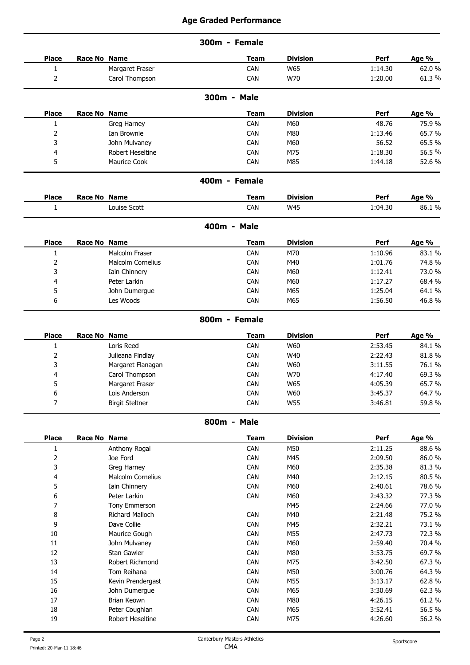|                |                        | 300m - Female |                 |         |        |
|----------------|------------------------|---------------|-----------------|---------|--------|
| <b>Place</b>   | Race No Name           | <b>Team</b>   | <b>Division</b> | Perf    | Age %  |
| $\mathbf{1}$   | Margaret Fraser        | CAN           | W65             | 1:14.30 | 62.0%  |
| 2              | Carol Thompson         | CAN           | W70             | 1:20.00 | 61.3%  |
|                |                        | 300m - Male   |                 |         |        |
| <b>Place</b>   | Race No Name           | <b>Team</b>   | <b>Division</b> | Perf    | Age %  |
| $\mathbf{1}$   | Greg Harney            | CAN           | M60             | 48.76   | 75.9%  |
| 2              | Ian Brownie            | CAN           | M80             | 1:13.46 | 65.7%  |
| 3              | John Mulvaney          | CAN           | M60             | 56.52   | 65.5%  |
| 4              | Robert Heseltine       | CAN           | M75             | 1:18.30 | 56.5%  |
| 5              | Maurice Cook           | CAN           | M85             | 1:44.18 | 52.6%  |
|                |                        | 400m - Female |                 |         |        |
| <b>Place</b>   | Race No Name           | <b>Team</b>   | <b>Division</b> | Perf    | Age %  |
| 1              | Louise Scott           | CAN           | W45             | 1:04.30 | 86.1%  |
|                |                        | 400m - Male   |                 |         |        |
| <b>Place</b>   | Race No Name           | <b>Team</b>   | <b>Division</b> | Perf    | Age %  |
| 1              | Malcolm Fraser         | CAN           | M70             | 1:10.96 | 83.1%  |
| 2              | Malcolm Cornelius      | CAN           | M40             | 1:01.76 | 74.8%  |
| 3              | Iain Chinnery          | CAN           | M60             | 1:12.41 | 73.0%  |
| 4              | Peter Larkin           | CAN           | M60             | 1:17.27 | 68.4%  |
| 5              | John Dumergue          | CAN           | M65             | 1:25.04 | 64.1%  |
| 6              | Les Woods              | <b>CAN</b>    | M65             | 1:56.50 | 46.8%  |
|                |                        | 800m - Female |                 |         |        |
| <b>Place</b>   | Race No Name           | <b>Team</b>   | <b>Division</b> | Perf    | Age %  |
| $\mathbf{1}$   | Loris Reed             | CAN           | W60             | 2:53.45 | 84.1%  |
| $\overline{2}$ | Julieana Findlay       | CAN           | W40             | 2:22.43 | 81.8%  |
| 3              | Margaret Flanagan      | <b>CAN</b>    | W60             | 3:11.55 | 76.1%  |
|                | Carol Thompson         | CAN           | W70             | 4:17.40 | 69.3%  |
| 5              | Margaret Fraser        | CAN           | W65             | 4:05.39 | 65.7%  |
| 6              | Lois Anderson          | CAN           | W60             | 3:45.37 | 64.7%  |
| $\overline{7}$ | <b>Birgit Steltner</b> | CAN           | <b>W55</b>      | 3:46.81 | 59.8%  |
|                |                        |               |                 |         |        |
|                |                        | 800m - Male   |                 |         |        |
| <b>Place</b>   | Race No Name           | <b>Team</b>   | <b>Division</b> | Perf    | Age %  |
| $\mathbf{1}$   | Anthony Rogal          | CAN           | M50             | 2:11.25 | 88.6%  |
| $\overline{2}$ | Joe Ford               | CAN           | M45             | 2:09.50 | 86.0%  |
| 3              | Greg Harney            | CAN           | M60             | 2:35.38 | 81.3%  |
| 4              | Malcolm Cornelius      | CAN           | M40             | 2:12.15 | 80.5%  |
| 5              | Iain Chinnery          | CAN           | M60             | 2:40.61 | 78.6%  |
| 6              | Peter Larkin           | CAN           | M60             | 2:43.32 | 77.3 % |
| 7              | Tony Emmerson          |               | M45             | 2:24.66 | 77.0%  |
| 8              | Richard Malloch        | CAN           | M40             | 2:21.48 | 75.2 % |
| 9              | Dave Collie            | CAN           | M45             | 2:32.21 | 73.1%  |
| $10\,$         | Maurice Gough          | CAN           | M55             | 2:47.73 | 72.3%  |
| $11\,$         | John Mulvaney          | CAN           | M60             | 2:59.40 | 70.4%  |
| $12\,$         | Stan Gawler            | CAN           | M80             | 3:53.75 | 69.7%  |
| 13             | Robert Richmond        | CAN           | M75             | 3:42.50 | 67.3%  |
| $14\,$         | Tom Reihana            | CAN           | M50             | 3:00.76 | 64.3%  |
| 15             | Kevin Prendergast      | CAN           | M55             | 3:13.17 | 62.8%  |
| $16\,$         | John Dumergue          | CAN           | M65             | 3:30.69 | 62.3%  |
| $17\,$         | Brian Keown            | CAN           | M80             | 4:26.15 | 61.2%  |
| 18             | Peter Coughlan         | CAN           | M65             | 3:52.41 | 56.5%  |
| 19             | Robert Heseltine       | CAN           | M75             | 4:26.60 | 56.2%  |
|                |                        |               |                 |         |        |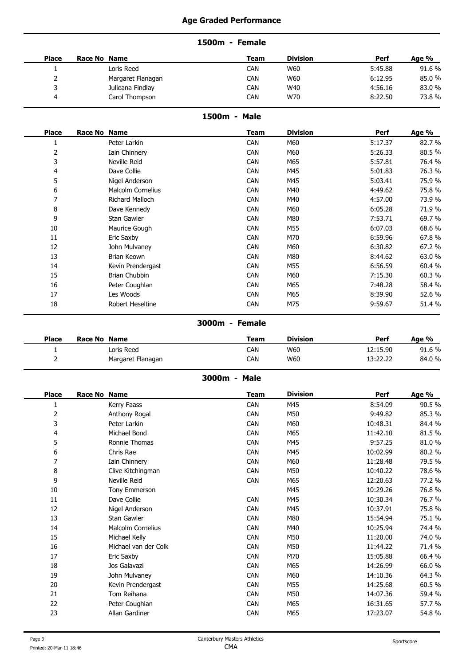## **1500m - Female**

| <b>Place</b> | <b>Race No</b><br><b>Name</b> | Team | <b>Division</b> | Perf    | Age % |
|--------------|-------------------------------|------|-----------------|---------|-------|
|              | Loris Reed                    | CAN  | W60             | 5:45.88 | 91.6% |
|              | Margaret Flanagan             | CAN  | W60             | 6:12.95 | 85.0% |
|              | Julieana Findlay              | CAN  | W40             | 4:56.16 | 83.0% |
|              | Carol Thompson                | CAN  | W70             | 8:22.50 | 73.8% |
|              |                               |      |                 |         |       |

#### **1500m - Male**

| <b>Place</b>   | Race No Name             | <b>Team</b> | <b>Division</b> | Perf    | Age %  |
|----------------|--------------------------|-------------|-----------------|---------|--------|
|                | Peter Larkin             | <b>CAN</b>  | M60             | 5:17.37 | 82.7%  |
| 2              | Iain Chinnery            | <b>CAN</b>  | M60             | 5:26.33 | 80.5%  |
| 3              | Neville Reid             | <b>CAN</b>  | M65             | 5:57.81 | 76.4%  |
| 4              | Dave Collie              | <b>CAN</b>  | M45             | 5:01.83 | 76.3%  |
| 5              | Nigel Anderson           | <b>CAN</b>  | M45             | 5:03.41 | 75.9%  |
| 6              | <b>Malcolm Cornelius</b> | <b>CAN</b>  | M40             | 4:49.62 | 75.8%  |
| $\overline{ }$ | Richard Malloch          | <b>CAN</b>  | M40             | 4:57.00 | 73.9%  |
| 8              | Dave Kennedy             | <b>CAN</b>  | M60             | 6:05.28 | 71.9%  |
| 9              | Stan Gawler              | <b>CAN</b>  | M80             | 7:53.71 | 69.7%  |
| 10             | Maurice Gough            | <b>CAN</b>  | M55             | 6:07.03 | 68.6%  |
| 11             | Eric Saxby               | CAN         | M70             | 6:59.96 | 67.8%  |
| 12             | John Mulvaney            | <b>CAN</b>  | M60             | 6:30.82 | 67.2 % |
| 13             | Brian Keown              | <b>CAN</b>  | M80             | 8:44.62 | 63.0%  |
| 14             | Kevin Prendergast        | <b>CAN</b>  | M55             | 6:56.59 | 60.4%  |
| 15             | Brian Chubbin            | <b>CAN</b>  | M60             | 7:15.30 | 60.3%  |
| 16             | Peter Coughlan           | CAN         | M65             | 7:48.28 | 58.4%  |
| 17             | Les Woods                | <b>CAN</b>  | M65             | 8:39.90 | 52.6%  |
| 18             | Robert Heseltine         | <b>CAN</b>  | M75             | 9:59.67 | 51.4%  |

**3000m - Female**

| <b>Place</b> | Race No Name |                   | Team | <b>Division</b> | Perf                 | Age %  |
|--------------|--------------|-------------------|------|-----------------|----------------------|--------|
|              |              | Loris Reed        | CAN  | W60             | 12:15.90             | 91.6 % |
|              |              | Margaret Flanagan | CAN  | W60             | 13.22.22<br>13.22.22 | 84.0%  |

## **3000m - Male**

| <b>Place</b> | Race No Name |                      | <b>Team</b> | <b>Division</b> | Perf     | Age %  |
|--------------|--------------|----------------------|-------------|-----------------|----------|--------|
|              |              | Kerry Faass          | CAN         | M45             | 8:54.09  | 90.5%  |
| 2            |              | Anthony Rogal        | <b>CAN</b>  | M50             | 9:49.82  | 85.3%  |
| 3            |              | Peter Larkin         | CAN         | M60             | 10:48.31 | 84.4%  |
| 4            |              | Michael Bond         | <b>CAN</b>  | M65             | 11:42.10 | 81.5%  |
| 5            |              | Ronnie Thomas        | <b>CAN</b>  | M45             | 9:57.25  | 81.0%  |
| 6            |              | Chris Rae            | <b>CAN</b>  | M45             | 10:02.99 | 80.2%  |
| 7            |              | Iain Chinnery        | <b>CAN</b>  | M60             | 11:28.48 | 79.5 % |
| 8            |              | Clive Kitchingman    | <b>CAN</b>  | M50             | 10:40.22 | 78.6%  |
| 9            |              | Neville Reid         | <b>CAN</b>  | M65             | 12:20.63 | 77.2 % |
| 10           |              | Tony Emmerson        |             | M45             | 10:29.26 | 76.8%  |
| 11           |              | Dave Collie          | CAN         | M45             | 10:30.34 | 76.7%  |
| 12           |              | Nigel Anderson       | <b>CAN</b>  | M45             | 10:37.91 | 75.8%  |
| 13           |              | Stan Gawler          | <b>CAN</b>  | M80             | 15:54.94 | 75.1 % |
| 14           |              | Malcolm Cornelius    | CAN         | M40             | 10:25.94 | 74.4 % |
| 15           |              | Michael Kelly        | <b>CAN</b>  | M50             | 11:20.00 | 74.0 % |
| 16           |              | Michael van der Colk | <b>CAN</b>  | M50             | 11:44.22 | 71.4%  |
| 17           |              | Eric Saxby           | CAN         | M70             | 15:05.88 | 66.4%  |
| 18           |              | Jos Galavazi         | <b>CAN</b>  | M65             | 14:26.99 | 66.0%  |
| 19           |              | John Mulvaney        | CAN         | M60             | 14:10.36 | 64.3%  |
| 20           |              | Kevin Prendergast    | <b>CAN</b>  | M55             | 14:25.68 | 60.5%  |
| 21           |              | Tom Reihana          | <b>CAN</b>  | M50             | 14:07.36 | 59.4%  |
| 22           |              | Peter Coughlan       | <b>CAN</b>  | M65             | 16:31.65 | 57.7%  |
| 23           |              | Allan Gardiner       | CAN         | M65             | 17:23.07 | 54.8%  |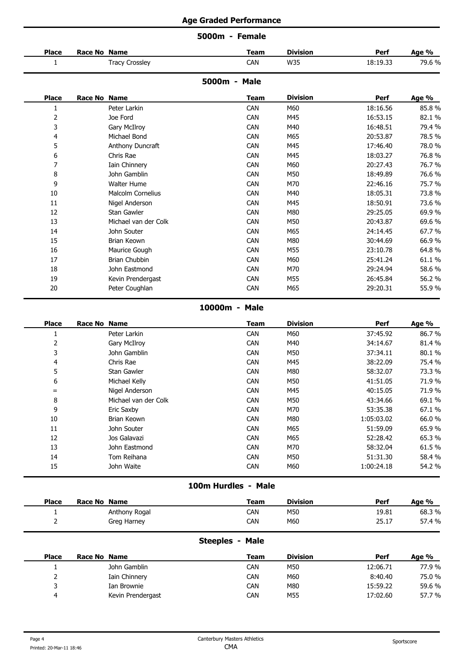|                |              |                          | 5000m - Female |                 |            |        |
|----------------|--------------|--------------------------|----------------|-----------------|------------|--------|
| <b>Place</b>   | Race No Name |                          | <b>Team</b>    | <b>Division</b> | Perf       | Age %  |
| $\mathbf{1}$   |              | <b>Tracy Crossley</b>    | CAN            | W35             | 18:19.33   | 79.6%  |
|                |              |                          | 5000m - Male   |                 |            |        |
| <b>Place</b>   | Race No Name |                          | <b>Team</b>    | <b>Division</b> | Perf       | Age %  |
| 1              |              | Peter Larkin             | CAN            | M60             | 18:16.56   | 85.8%  |
| $\overline{2}$ |              | Joe Ford                 | CAN            | M45             | 16:53.15   | 82.1%  |
| 3              |              | <b>Gary McIlroy</b>      | CAN            | M40             | 16:48.51   | 79.4 % |
| 4              |              | Michael Bond             | CAN            | M65             | 20:53.87   | 78.5%  |
| 5              |              | Anthony Duncraft         | CAN            | M45             | 17:46.40   | 78.0%  |
| 6              |              | Chris Rae                | CAN            | M45             | 18:03.27   | 76.8%  |
| 7              |              | Iain Chinnery            | CAN            | M60             | 20:27.43   | 76.7%  |
| 8              |              | John Gamblin             | CAN            | M50             | 18:49.89   | 76.6%  |
| 9              |              | <b>Walter Hume</b>       | CAN            | M70             | 22:46.16   | 75.7%  |
| 10             |              | <b>Malcolm Cornelius</b> | CAN            | M40             | 18:05.31   | 73.8%  |
| 11             |              | Nigel Anderson           | CAN            | M45             | 18:50.91   | 73.6%  |
| 12             |              | Stan Gawler              | CAN            | M80             | 29:25.05   | 69.9%  |
| 13             |              | Michael van der Colk     | CAN            | M50             | 20:43.87   | 69.6%  |
| 14             |              | John Souter              | CAN            | M65             | 24:14.45   | 67.7%  |
| 15             |              | Brian Keown              | CAN            | M80             | 30:44.69   | 66.9%  |
| 16             |              | Maurice Gough            | CAN            | M55             | 23:10.78   | 64.8%  |
| 17             |              | <b>Brian Chubbin</b>     | CAN            | M60             | 25:41.24   | 61.1%  |
| 18             |              | John Eastmond            | CAN            | M70             | 29:24.94   | 58.6%  |
| 19             |              | Kevin Prendergast        | CAN            | M55             | 26:45.84   | 56.2 % |
| 20             |              | Peter Coughlan           | <b>CAN</b>     | M65             | 29:20.31   | 55.9%  |
|                |              |                          | 10000m - Male  |                 |            |        |
| <b>Place</b>   | Race No Name |                          | <b>Team</b>    | <b>Division</b> | Perf       | Age %  |
| $\mathbf{1}$   |              | Peter Larkin             | CAN            | M60             | 37:45.92   | 86.7%  |
| 2              |              | Gary McIlroy             | CAN            | M40             | 34:14.67   | 81.4%  |
| 3              |              | John Gamblin             | CAN            | M50             | 37:34.11   | 80.1%  |
| 4              |              | Chris Rae                | CAN            | M45             | 38:22.09   | 75.4 % |
| 5              |              | Stan Gawler              | CAN            | M80             | 58:32.07   | 73.3 % |
| 6              |              | Michael Kelly            | CAN            | M50             | 41:51.05   | 71.9%  |
| $\equiv$       |              | Nigel Anderson           | CAN            | M45             | 40:15.05   | 71.9%  |
| 8              |              | Michael van der Colk     | CAN            | M50             | 43:34.66   | 69.1%  |
| 9              |              | Eric Saxby               | CAN            | M70             | 53:35.38   | 67.1%  |
| 10             |              | Brian Keown              | CAN            | M80             | 1:05:03.02 | 66.0%  |
| 11             |              | John Souter              | CAN            | M65             | 51:59.09   | 65.9%  |
| 12             |              | Jos Galavazi             | CAN            | M65             | 52:28.42   | 65.3%  |
| 13             |              | John Eastmond            | CAN            | M70             | 58:32.04   | 61.5%  |
| 14             |              | Tom Reihana              | CAN            | M50             | 51:31.30   | 58.4%  |
| 15             |              | John Waite               | CAN            | M60             | 1:00:24.18 | 54.2 % |

**100m Hurdles - Male**

| <b>Place</b> | Race No Name |               | Team       | <b>Division</b> | Perf  | Age %                                |
|--------------|--------------|---------------|------------|-----------------|-------|--------------------------------------|
|              |              | Anthony Rogal | CAN        | M50             | 19.81 | 68.3%<br>$\sim$ $\sim$ $\sim$ $\sim$ |
|              |              | Greg Harney   | <b>CAN</b> | M60             | 25.17 | 57.4 %                               |
|              |              |               |            |                 |       |                                      |

# **Steeples - Male**

| <b>Place</b> | Race No Name      | <b>Team</b> | <b>Division</b> | Perf     | Age %  |
|--------------|-------------------|-------------|-----------------|----------|--------|
|              | John Gamblin      | CAN         | M50             | 12:06.71 | 77.9%  |
|              | Iain Chinnery     | <b>CAN</b>  | M60             | 8:40.40  | 75.0%  |
|              | Ian Brownie       | <b>CAN</b>  | M80             | 15:59.22 | 59.6%  |
| ▵            | Kevin Prendergast | <b>CAN</b>  | M55             | 17:02.60 | 57.7 % |
|              |                   |             |                 |          |        |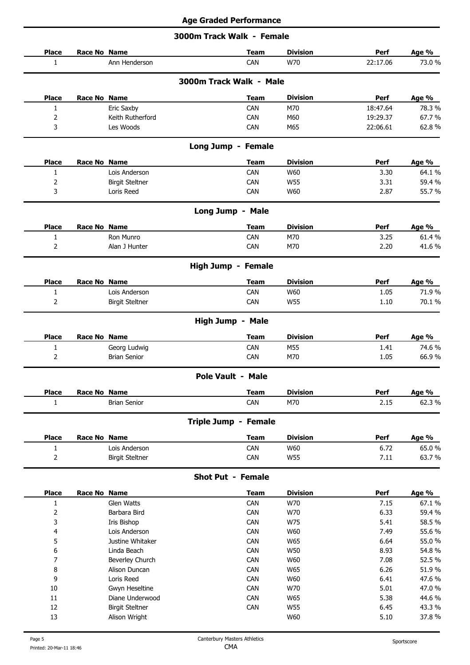## **3000m Track Walk - Female**

| <b>Place</b>                                                                                                     | Race No Name                            |                              | <b>Team</b> | <b>Division</b> | Perf         | Age %          |
|------------------------------------------------------------------------------------------------------------------|-----------------------------------------|------------------------------|-------------|-----------------|--------------|----------------|
| 1                                                                                                                | Ann Henderson                           |                              | CAN         | W70             | 22:17.06     | 73.0%          |
|                                                                                                                  |                                         | 3000m Track Walk - Male      |             |                 |              |                |
| <b>Place</b>                                                                                                     | Race No Name                            |                              | <b>Team</b> | <b>Division</b> | Perf         | Age %          |
| $\mathbf{1}$                                                                                                     | Eric Saxby                              |                              | CAN         | M70             | 18:47.64     | 78.3 %         |
| 2                                                                                                                | Keith Rutherford                        |                              | CAN         | M60             | 19:29.37     | 67.7%          |
| 3                                                                                                                | Les Woods                               |                              | CAN         | M65             | 22:06.61     | 62.8%          |
|                                                                                                                  |                                         | Long Jump - Female           |             |                 |              |                |
| <b>Place</b>                                                                                                     | <b>Race No Name</b>                     |                              | <b>Team</b> | <b>Division</b> | Perf         | Age %          |
| $\mathbf{1}$                                                                                                     | Lois Anderson                           |                              | CAN         | W60             | 3.30         | 64.1%          |
| 2                                                                                                                | <b>Birgit Steltner</b>                  |                              | CAN         | W55             | 3.31         | 59.4%          |
| 3                                                                                                                | Loris Reed                              |                              | CAN         | W60             | 2.87         | 55.7%          |
|                                                                                                                  |                                         | Long Jump - Male             |             |                 |              |                |
| <b>Place</b>                                                                                                     | Race No Name                            |                              | <b>Team</b> | <b>Division</b> | Perf         | Age %          |
| $\mathbf{1}$                                                                                                     | Ron Munro                               |                              | CAN         | M70             | 3.25         | 61.4%          |
| 2                                                                                                                | Alan J Hunter                           |                              | CAN         | M70             | 2.20         | 41.6%          |
|                                                                                                                  |                                         | High Jump - Female           |             |                 |              |                |
| <b>Place</b>                                                                                                     | Race No Name                            |                              | <b>Team</b> | <b>Division</b> | Perf         | Age %          |
| $\mathbf{1}$                                                                                                     | Lois Anderson                           |                              | CAN         | W60             | 1.05         | 71.9%          |
| 2                                                                                                                | <b>Birgit Steltner</b>                  |                              | CAN         | W55             | 1.10         | 70.1%          |
|                                                                                                                  |                                         | High Jump - Male             |             |                 |              |                |
| <b>Place</b>                                                                                                     | Race No Name                            |                              | <b>Team</b> | <b>Division</b> | Perf         | Age %          |
| $\mathbf{1}$                                                                                                     | Georg Ludwig                            |                              | CAN         | M55             | 1.41         | 74.6 %         |
| $\overline{2}$                                                                                                   | <b>Brian Senior</b>                     |                              | CAN         | M70             | 1.05         | 66.9%          |
|                                                                                                                  |                                         | Pole Vault - Male            |             |                 |              |                |
| <b>Place</b>                                                                                                     | Race No Name                            |                              | <b>Team</b> | <b>Division</b> | <b>Perf</b>  | Age %          |
| $\mathbf{1}$                                                                                                     | <b>Brian Senior</b>                     |                              | CAN         | M70             | 2.15         | 62.3%          |
|                                                                                                                  |                                         | Triple Jump - Female         |             |                 |              |                |
| <b>Place</b>                                                                                                     | Race No Name                            |                              | <b>Team</b> | <b>Division</b> | Perf         | Age %          |
| $\mathbf{1}$                                                                                                     | Lois Anderson                           |                              | CAN         | W60             | 6.72         | 65.0%          |
| $\mathsf{2}\!\!\:\mathsf{1}\!\!\:\mathsf{2}\!\!\:\mathsf{1}\!\!\:\mathsf{3}\mathsf{2}\!\!\:\mathsf{4}\mathsf{3}$ | <b>Birgit Steltner</b>                  |                              | CAN         | <b>W55</b>      | 7.11         | 63.7%          |
|                                                                                                                  |                                         | <b>Shot Put - Female</b>     |             |                 |              |                |
| <b>Place</b>                                                                                                     | Race No Name                            |                              | <b>Team</b> | <b>Division</b> | Perf         | Age %          |
| $\mathbf{1}$                                                                                                     | Glen Watts                              |                              | CAN         | W70             | 7.15         | 67.1%          |
| $\mathsf{2}\,$                                                                                                   | Barbara Bird                            |                              | CAN         | W70             | 6.33         | 59.4%          |
| 3                                                                                                                | Iris Bishop                             |                              | CAN         | W75             | 5.41         | 58.5%          |
| 4                                                                                                                | Lois Anderson                           |                              | CAN         | W60             | 7.49         | 55.6%          |
| 5                                                                                                                | Justine Whitaker                        |                              | CAN         | W65             | 6.64         | 55.0%          |
| 6                                                                                                                | Linda Beach                             |                              | CAN         | <b>W50</b>      | 8.93         | 54.8%          |
| 7                                                                                                                | Beverley Church                         |                              | CAN         | W60             | 7.08         | 52.5%          |
| 8                                                                                                                | Alison Duncan                           |                              | CAN         | W65             | 6.26         | 51.9%          |
| 9                                                                                                                | Loris Reed                              |                              | CAN         | W60             | 6.41         | 47.6%          |
| $10\,$                                                                                                           | Gwyn Heseltine                          |                              | CAN         | W70             | 5.01         | 47.0%          |
| $11\,$                                                                                                           | Diane Underwood                         |                              | CAN         | W65             | 5.38         | 44.6 %         |
| 12<br>13                                                                                                         | <b>Birgit Steltner</b><br>Alison Wright |                              | CAN         | W55<br>W60      | 6.45<br>5.10 | 43.3%<br>37.8% |
|                                                                                                                  |                                         |                              |             |                 |              |                |
| Page 5                                                                                                           |                                         | Canterbury Masters Athletics |             |                 |              | Sportscore     |
|                                                                                                                  |                                         |                              |             |                 |              |                |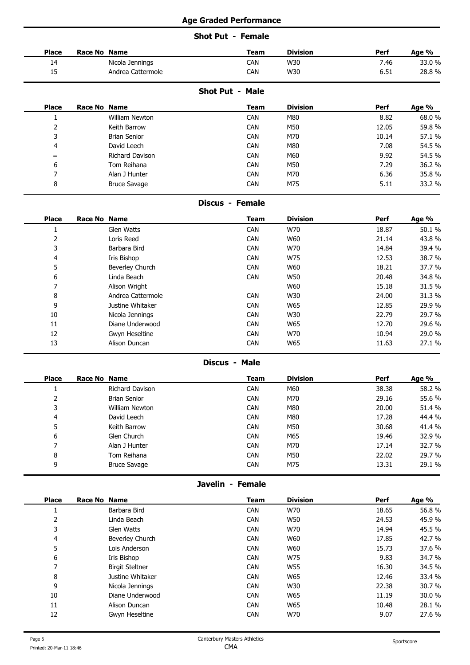## **Shot Put - Female**

| <b>Place</b> | Race No Name      | <b>Team</b> | <b>Division</b> | Perf | Age % |
|--------------|-------------------|-------------|-----------------|------|-------|
|              |                   |             |                 |      |       |
| . 4<br>. .   | Nicola Jennings   | CAN         | W30             | 7.46 | 33.0% |
| --           | Andrea Cattermole | CAN         | W30             | 6.51 | 28.8% |
|              |                   |             |                 |      |       |

## **Shot Put - Male**

| <b>Place</b> | Race No Name        | Team       | <b>Division</b> | Perf  | Age %  |
|--------------|---------------------|------------|-----------------|-------|--------|
|              | William Newton      | CAN        | M80             | 8.82  | 68.0%  |
|              | Keith Barrow        | <b>CAN</b> | M50             | 12.05 | 59.8%  |
|              | <b>Brian Senior</b> | <b>CAN</b> | M70             | 10.14 | 57.1 % |
| 4            | David Leech         | <b>CAN</b> | M80             | 7.08  | 54.5 % |
| $=$          | Richard Davison     | <b>CAN</b> | M60             | 9.92  | 54.5%  |
| ь            | Tom Reihana         | <b>CAN</b> | M50             | 7.29  | 36.2 % |
|              | Alan J Hunter       | CAN        | M70             | 6.36  | 35.8%  |
| 8            | <b>Bruce Savage</b> | <b>CAN</b> | M75             | 5.11  | 33.2 % |
|              |                     |            |                 |       |        |

#### **Discus - Female**

| <b>Place</b> | Race No Name      | <b>Team</b> | <b>Division</b> | <b>Perf</b> | Age %  |
|--------------|-------------------|-------------|-----------------|-------------|--------|
|              | Glen Watts        | CAN         | W70             | 18.87       | 50.1%  |
|              | Loris Reed        | <b>CAN</b>  | W60             | 21.14       | 43.8%  |
|              | Barbara Bird      | CAN         | W70             | 14.84       | 39.4 % |
| 4            | Iris Bishop       | CAN         | W75             | 12.53       | 38.7%  |
|              | Beverley Church   | CAN         | W60             | 18.21       | 37.7 % |
| 6            | Linda Beach       | <b>CAN</b>  | <b>W50</b>      | 20.48       | 34.8%  |
|              | Alison Wright     |             | W60             | 15.18       | 31.5 % |
| 8            | Andrea Cattermole | <b>CAN</b>  | W30             | 24.00       | 31.3%  |
| 9            | Justine Whitaker  | CAN         | W65             | 12.85       | 29.9 % |
| 10           | Nicola Jennings   | <b>CAN</b>  | W30             | 22.79       | 29.7 % |
| 11           | Diane Underwood   | CAN         | W65             | 12.70       | 29.6 % |
| 12           | Gwyn Heseltine    | CAN         | W70             | 10.94       | 29.0 % |
| 13           | Alison Duncan     | CAN         | W65             | 11.63       | 27.1 % |
|              |                   |             |                 |             |        |

#### **Discus - Male**

| <b>Place</b> | Race No Name          | <b>Team</b> | <b>Division</b> | Perf  | Age %  |
|--------------|-----------------------|-------------|-----------------|-------|--------|
|              | Richard Davison       | <b>CAN</b>  | M60             | 38.38 | 58.2 % |
|              | <b>Brian Senior</b>   | <b>CAN</b>  | M70             | 29.16 | 55.6 % |
| ر            | <b>William Newton</b> | <b>CAN</b>  | M80             | 20.00 | 51.4%  |
| 4            | David Leech           | <b>CAN</b>  | M80             | 17.28 | 44.4 % |
|              | Keith Barrow          | <b>CAN</b>  | M50             | 30.68 | 41.4 % |
| 6            | Glen Church           | <b>CAN</b>  | M65             | 19.46 | 32.9%  |
|              | Alan J Hunter         | <b>CAN</b>  | M70             | 17.14 | 32.7 % |
| 8            | Tom Reihana           | <b>CAN</b>  | M50             | 22.02 | 29.7 % |
| 9            | <b>Bruce Savage</b>   | <b>CAN</b>  | M75             | 13.31 | 29.1 % |
|              |                       |             |                 |       |        |

**Javelin - Female**

| <b>Place</b> | Race No Name           | <b>Team</b> | <b>Division</b> | Perf  | Age %  |
|--------------|------------------------|-------------|-----------------|-------|--------|
|              | Barbara Bird           | <b>CAN</b>  | W70             | 18.65 | 56.8%  |
|              | Linda Beach            | <b>CAN</b>  | <b>W50</b>      | 24.53 | 45.9%  |
|              | Glen Watts             | <b>CAN</b>  | W70             | 14.94 | 45.5 % |
| 4            | Beverley Church        | <b>CAN</b>  | W60             | 17.85 | 42.7%  |
| -<br>כ       | Lois Anderson          | <b>CAN</b>  | W60             | 15.73 | 37.6 % |
| 6            | Iris Bishop            | <b>CAN</b>  | W75             | 9.83  | 34.7 % |
|              | <b>Birgit Steltner</b> | <b>CAN</b>  | W55             | 16.30 | 34.5%  |
| 8            | Justine Whitaker       | <b>CAN</b>  | W65             | 12.46 | 33.4 % |
| 9            | Nicola Jennings        | <b>CAN</b>  | W30             | 22.38 | 30.7%  |
| 10           | Diane Underwood        | <b>CAN</b>  | W65             | 11.19 | 30.0 % |
| 11           | Alison Duncan          | <b>CAN</b>  | W65             | 10.48 | 28.1%  |
| 12           | Gwyn Heseltine         | <b>CAN</b>  | W70             | 9.07  | 27.6 % |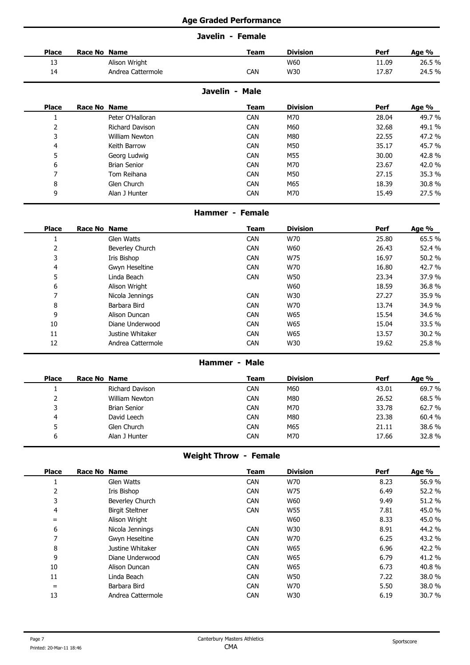## **Javelin - Female**

| <b>Place</b> | Race No Name      | <b>Team</b>    | <b>Division</b> | Perf  | Age %  |
|--------------|-------------------|----------------|-----------------|-------|--------|
| 13<br>--     | Alison Wright     |                | W60             | 11.09 | 26.5%  |
| 14           | Andrea Cattermole | <b>CAN</b>     | W30             | 17.87 | 24.5 % |
|              |                   | Javolin - Malo |                 |       |        |

## **Javelin - Male**

| <b>Place</b> | Race No Name |                     | <b>Team</b> | <b>Division</b> | Perf  | Age %  |
|--------------|--------------|---------------------|-------------|-----------------|-------|--------|
|              |              | Peter O'Halloran    | <b>CAN</b>  | M70             | 28.04 | 49.7 % |
|              |              | Richard Davison     | <b>CAN</b>  | M60             | 32.68 | 49.1%  |
|              |              | William Newton      | <b>CAN</b>  | M80             | 22.55 | 47.2 % |
| 4            |              | Keith Barrow        | <b>CAN</b>  | M50             | 35.17 | 45.7 % |
|              |              | Georg Ludwig        | <b>CAN</b>  | M55             | 30.00 | 42.8%  |
| b            |              | <b>Brian Senior</b> | <b>CAN</b>  | M70             | 23.67 | 42.0%  |
|              |              | Tom Reihana         | <b>CAN</b>  | M50             | 27.15 | 35.3 % |
| 8            |              | Glen Church         | <b>CAN</b>  | M65             | 18.39 | 30.8%  |
| q            |              | Alan J Hunter       | <b>CAN</b>  | M70             | 15.49 | 27.5 % |
|              |              |                     |             |                 |       |        |

## **Hammer - Female**

| <b>Place</b>             | Race No Name      | <b>Team</b> | <b>Division</b> | Perf  | Age %  |
|--------------------------|-------------------|-------------|-----------------|-------|--------|
|                          | Glen Watts        | <b>CAN</b>  | W70             | 25.80 | 65.5%  |
|                          | Beverley Church   | <b>CAN</b>  | W60             | 26.43 | 52.4 % |
| 3                        | Iris Bishop       | <b>CAN</b>  | W75             | 16.97 | 50.2%  |
| 4                        | Gwyn Heseltine    | <b>CAN</b>  | W70             | 16.80 | 42.7%  |
| ͻ                        | Linda Beach       | <b>CAN</b>  | <b>W50</b>      | 23.34 | 37.9 % |
| 6                        | Alison Wright     |             | W60             | 18.59 | 36.8%  |
| $\overline{\phantom{0}}$ | Nicola Jennings   | <b>CAN</b>  | W30             | 27.27 | 35.9%  |
| 8                        | Barbara Bird      | <b>CAN</b>  | W70             | 13.74 | 34.9 % |
| 9                        | Alison Duncan     | <b>CAN</b>  | W65             | 15.54 | 34.6 % |
| 10                       | Diane Underwood   | <b>CAN</b>  | W65             | 15.04 | 33.5 % |
| 11                       | Justine Whitaker  | <b>CAN</b>  | W65             | 13.57 | 30.2 % |
| 12                       | Andrea Cattermole | <b>CAN</b>  | W30             | 19.62 | 25.8%  |
|                          |                   |             |                 |       |        |

#### **Hammer - Male**

| <b>Place</b> | Race No Name        | <b>Team</b> | <b>Division</b> | Perf  | Age % |
|--------------|---------------------|-------------|-----------------|-------|-------|
|              | Richard Davison     | <b>CAN</b>  | M60             | 43.01 | 69.7% |
| ∼            | William Newton      | <b>CAN</b>  | M80             | 26.52 | 68.5% |
|              | <b>Brian Senior</b> | <b>CAN</b>  | M70             | 33.78 | 62.7% |
|              | David Leech         | <b>CAN</b>  | M80             | 23.38 | 60.4% |
|              | Glen Church         | <b>CAN</b>  | M65             | 21.11 | 38.6% |
| ь            | Alan J Hunter       | CAN         | M70             | 17.66 | 32.8% |
|              |                     |             |                 |       |       |

# **Weight Throw - Female**

| <b>Place</b> | Race No Name           | <b>Team</b> | <b>Division</b> | Perf | Age %  |
|--------------|------------------------|-------------|-----------------|------|--------|
|              | Glen Watts             | <b>CAN</b>  | W70             | 8.23 | 56.9%  |
|              | Iris Bishop            | <b>CAN</b>  | W75             | 6.49 | 52.2 % |
| 3            | Beverley Church        | <b>CAN</b>  | W60             | 9.49 | 51.2%  |
| 4            | <b>Birgit Steltner</b> | <b>CAN</b>  | W55             | 7.81 | 45.0%  |
| $=$          | Alison Wright          |             | W60             | 8.33 | 45.0%  |
| 6            | Nicola Jennings        | <b>CAN</b>  | W30             | 8.91 | 44.2 % |
|              | Gwyn Heseltine         | <b>CAN</b>  | W70             | 6.25 | 43.2 % |
| 8            | Justine Whitaker       | <b>CAN</b>  | W65             | 6.96 | 42.2%  |
| 9            | Diane Underwood        | <b>CAN</b>  | W65             | 6.79 | 41.2%  |
| 10           | Alison Duncan          | <b>CAN</b>  | W65             | 6.73 | 40.8%  |
| 11           | Linda Beach            | <b>CAN</b>  | <b>W50</b>      | 7.22 | 38.0%  |
| $=$          | Barbara Bird           | <b>CAN</b>  | W70             | 5.50 | 38.0%  |
| 13           | Andrea Cattermole      | <b>CAN</b>  | W30             | 6.19 | 30.7%  |
|              |                        |             |                 |      |        |